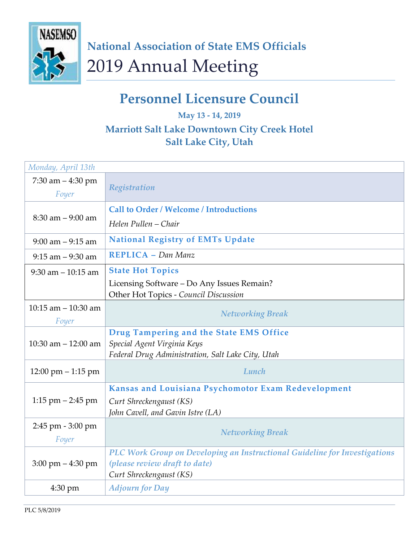

## **Personnel Licensure Council**

## **May 13 - 14, 2019 Marriott Salt Lake Downtown City Creek Hotel Salt Lake City, Utah**

| Monday, April 13th                   |                                                                            |
|--------------------------------------|----------------------------------------------------------------------------|
| 7:30 am $-4:30$ pm                   | Registration                                                               |
| Foyer                                |                                                                            |
| $8:30$ am $-9:00$ am                 | <b>Call to Order / Welcome / Introductions</b>                             |
|                                      | Helen Pullen – Chair                                                       |
| $9:00$ am $-9:15$ am                 | <b>National Registry of EMTs Update</b>                                    |
| $9:15$ am $-9:30$ am                 | <b>REPLICA</b> - Dan Manz                                                  |
| $9:30$ am $-10:15$ am                | <b>State Hot Topics</b>                                                    |
|                                      | Licensing Software - Do Any Issues Remain?                                 |
|                                      | Other Hot Topics - Council Discussion                                      |
| 10:15 am $-$ 10:30 am                |                                                                            |
| Foyer                                | <b>Networking Break</b>                                                    |
|                                      | Drug Tampering and the State EMS Office                                    |
| 10:30 am $-$ 12:00 am                | Special Agent Virginia Keys                                                |
|                                      | Federal Drug Administration, Salt Lake City, Utah                          |
| $12:00 \text{ pm} - 1:15 \text{ pm}$ | Lunch                                                                      |
|                                      | Kansas and Louisiana Psychomotor Exam Redevelopment                        |
| $1:15$ pm $-2:45$ pm                 | Curt Shreckengaust (KS)                                                    |
|                                      | John Cavell, and Gavin Istre (LA)                                          |
| $2:45$ pm $-3:00$ pm                 |                                                                            |
| Foyer                                | <b>Networking Break</b>                                                    |
|                                      | PLC Work Group on Developing an Instructional Guideline for Investigations |
| $3:00 \text{ pm} - 4:30 \text{ pm}$  | (please review draft to date)                                              |
|                                      | Curt Shreckengaust (KS)                                                    |
| $4:30 \text{ pm}$                    | <b>Adjourn for Day</b>                                                     |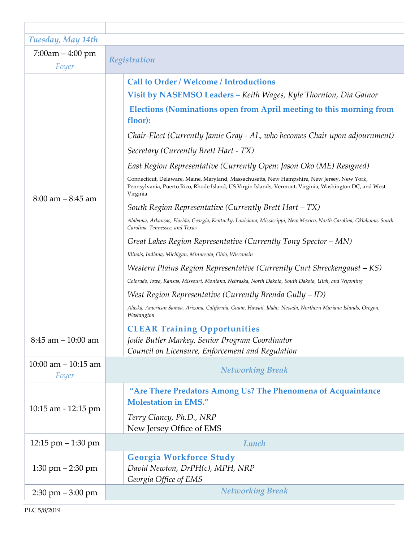| Tuesday, May 14th                   |                                                                                                                                                                                                                   |
|-------------------------------------|-------------------------------------------------------------------------------------------------------------------------------------------------------------------------------------------------------------------|
| $7:00$ am $-4:00$ pm                | Registration                                                                                                                                                                                                      |
| Foyer                               |                                                                                                                                                                                                                   |
| $8:00$ am $-8:45$ am                | <b>Call to Order / Welcome / Introductions</b>                                                                                                                                                                    |
|                                     | Visit by NASEMSO Leaders - Keith Wages, Kyle Thornton, Dia Gainor                                                                                                                                                 |
|                                     | Elections (Nominations open from April meeting to this morning from<br>floor):                                                                                                                                    |
|                                     | Chair-Elect (Currently Jamie Gray - AL, who becomes Chair upon adjournment)                                                                                                                                       |
|                                     | Secretary (Currently Brett Hart - TX)                                                                                                                                                                             |
|                                     | East Region Representative (Currently Open: Jason Oko (ME) Resigned)                                                                                                                                              |
|                                     | Connecticut, Delaware, Maine, Maryland, Massachusetts, New Hampshire, New Jersey, New York,<br>Pennsylvania, Puerto Rico, Rhode Island, US Virgin Islands, Vermont, Virginia, Washington DC, and West<br>Virginia |
|                                     | South Region Representative (Currently Brett Hart $-TX$ )                                                                                                                                                         |
|                                     | Alabama, Arkansas, Florida, Georgia, Kentucky, Louisiana, Mississippi, New Mexico, North Carolina, Oklahoma, South<br>Carolina, Tennessee, and Texas                                                              |
|                                     | Great Lakes Region Representative (Currently Tony Spector – MN)                                                                                                                                                   |
|                                     | Illinois, Indiana, Michigan, Minnesota, Ohio, Wisconsin                                                                                                                                                           |
|                                     | Western Plains Region Representative (Currently Curt Shreckengaust – KS)                                                                                                                                          |
|                                     | Colorado, Iowa, Kansas, Missouri, Montana, Nebraska, North Dakota, South Dakota, Utah, and Wyoming                                                                                                                |
|                                     | West Region Representative (Currently Brenda Gully $-ID$ )                                                                                                                                                        |
|                                     | Alaska, American Samoa, Arizona, California, Guam, Hawaii, Idaho, Nevada, Northern Mariana Islands, Oregon,<br>Washington                                                                                         |
|                                     | <b>CLEAR Training Opportunities</b>                                                                                                                                                                               |
| $8:45$ am $-10:00$ am               | Jodie Butler Markey, Senior Program Coordinator                                                                                                                                                                   |
|                                     | Council on Licensure, Enforcement and Regulation                                                                                                                                                                  |
| $10:00$ am $-10:15$ am<br>Foyer     | <b>Networking Break</b>                                                                                                                                                                                           |
| 10:15 am - 12:15 pm                 | "Are There Predators Among Us? The Phenomena of Acquaintance                                                                                                                                                      |
|                                     | <b>Molestation in EMS."</b>                                                                                                                                                                                       |
|                                     | Terry Clancy, Ph.D., NRP                                                                                                                                                                                          |
|                                     | New Jersey Office of EMS                                                                                                                                                                                          |
| $12:15$ pm $-1:30$ pm               | Lunch                                                                                                                                                                                                             |
| $1:30 \text{ pm} - 2:30 \text{ pm}$ | Georgia Workforce Study                                                                                                                                                                                           |
|                                     | David Newton, DrPH(c), MPH, NRP<br>Georgia Office of EMS                                                                                                                                                          |
| $2:30$ pm $-3:00$ pm                | <b>Networking Break</b>                                                                                                                                                                                           |
|                                     |                                                                                                                                                                                                                   |